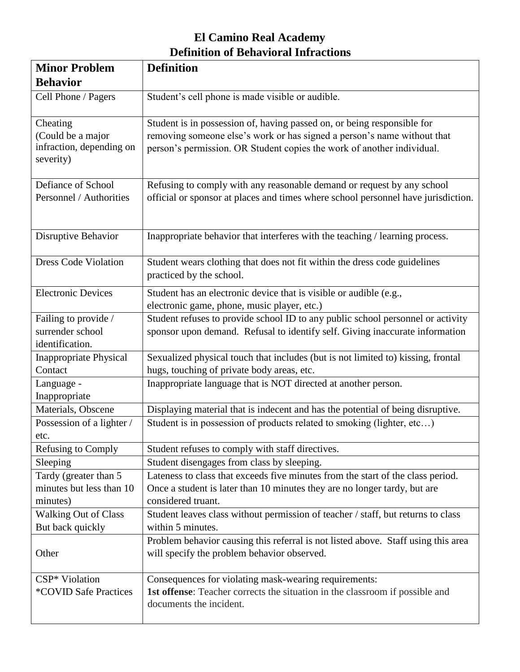## **El Camino Real Academy Definition of Behavioral Infractions**

| <b>Minor Problem</b>                                                   | <b>Definition</b>                                                                                                                                                                                                            |
|------------------------------------------------------------------------|------------------------------------------------------------------------------------------------------------------------------------------------------------------------------------------------------------------------------|
| <b>Behavior</b>                                                        |                                                                                                                                                                                                                              |
| Cell Phone / Pagers                                                    | Student's cell phone is made visible or audible.                                                                                                                                                                             |
| Cheating<br>(Could be a major<br>infraction, depending on<br>severity) | Student is in possession of, having passed on, or being responsible for<br>removing someone else's work or has signed a person's name without that<br>person's permission. OR Student copies the work of another individual. |
| Defiance of School<br>Personnel / Authorities                          | Refusing to comply with any reasonable demand or request by any school<br>official or sponsor at places and times where school personnel have jurisdiction.                                                                  |
| Disruptive Behavior                                                    | Inappropriate behavior that interferes with the teaching / learning process.                                                                                                                                                 |
| <b>Dress Code Violation</b>                                            | Student wears clothing that does not fit within the dress code guidelines<br>practiced by the school.                                                                                                                        |
| <b>Electronic Devices</b>                                              | Student has an electronic device that is visible or audible (e.g.,<br>electronic game, phone, music player, etc.)                                                                                                            |
| Failing to provide /<br>surrender school<br>identification.            | Student refuses to provide school ID to any public school personnel or activity<br>sponsor upon demand. Refusal to identify self. Giving inaccurate information                                                              |
| <b>Inappropriate Physical</b><br>Contact                               | Sexualized physical touch that includes (but is not limited to) kissing, frontal<br>hugs, touching of private body areas, etc.                                                                                               |
| Language -<br>Inappropriate                                            | Inappropriate language that is NOT directed at another person.                                                                                                                                                               |
| Materials, Obscene                                                     | Displaying material that is indecent and has the potential of being disruptive.                                                                                                                                              |
| Possession of a lighter /<br>etc.                                      | Student is in possession of products related to smoking (lighter, etc)                                                                                                                                                       |
| Refusing to Comply                                                     | Student refuses to comply with staff directives.                                                                                                                                                                             |
| Sleeping                                                               | Student disengages from class by sleeping.                                                                                                                                                                                   |
| Tardy (greater than 5<br>minutes but less than 10<br>minutes)          | Lateness to class that exceeds five minutes from the start of the class period.<br>Once a student is later than 10 minutes they are no longer tardy, but are<br>considered truant.                                           |
| <b>Walking Out of Class</b><br>But back quickly                        | Student leaves class without permission of teacher / staff, but returns to class<br>within 5 minutes.                                                                                                                        |
| Other                                                                  | Problem behavior causing this referral is not listed above. Staff using this area<br>will specify the problem behavior observed.                                                                                             |
| CSP* Violation<br>*COVID Safe Practices                                | Consequences for violating mask-wearing requirements:<br>1st offense: Teacher corrects the situation in the classroom if possible and<br>documents the incident.                                                             |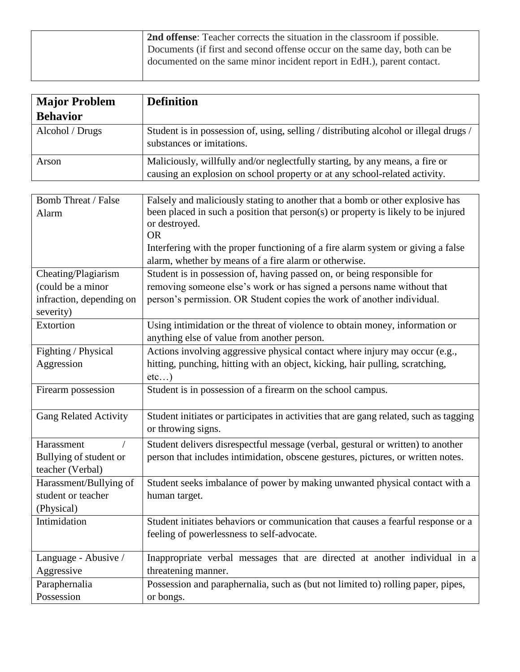| 2nd offense: Teacher corrects the situation in the classroom if possible. |
|---------------------------------------------------------------------------|
| Documents (if first and second offense occur on the same day, both can be |
| documented on the same minor incident report in EdH.), parent contact.    |
|                                                                           |

| <b>Major Problem</b>                                                              | <b>Definition</b>                                                                                                                                                                                                                                                                    |
|-----------------------------------------------------------------------------------|--------------------------------------------------------------------------------------------------------------------------------------------------------------------------------------------------------------------------------------------------------------------------------------|
| <b>Behavior</b>                                                                   |                                                                                                                                                                                                                                                                                      |
| Alcohol / Drugs                                                                   | Student is in possession of, using, selling / distributing alcohol or illegal drugs /<br>substances or imitations.                                                                                                                                                                   |
| Arson                                                                             | Maliciously, willfully and/or neglectfully starting, by any means, a fire or<br>causing an explosion on school property or at any school-related activity.                                                                                                                           |
|                                                                                   |                                                                                                                                                                                                                                                                                      |
| <b>Bomb Threat / False</b><br>Alarm                                               | Falsely and maliciously stating to another that a bomb or other explosive has<br>been placed in such a position that person(s) or property is likely to be injured<br>or destroyed.<br><b>OR</b><br>Interfering with the proper functioning of a fire alarm system or giving a false |
|                                                                                   | alarm, whether by means of a fire alarm or otherwise.                                                                                                                                                                                                                                |
| Cheating/Plagiarism<br>(could be a minor<br>infraction, depending on<br>severity) | Student is in possession of, having passed on, or being responsible for<br>removing someone else's work or has signed a persons name without that<br>person's permission. OR Student copies the work of another individual.                                                          |
| Extortion                                                                         | Using intimidation or the threat of violence to obtain money, information or<br>anything else of value from another person.                                                                                                                                                          |
| Fighting / Physical<br>Aggression                                                 | Actions involving aggressive physical contact where injury may occur (e.g.,<br>hitting, punching, hitting with an object, kicking, hair pulling, scratching,<br>etc)                                                                                                                 |
| Firearm possession                                                                | Student is in possession of a firearm on the school campus.                                                                                                                                                                                                                          |
| <b>Gang Related Activity</b>                                                      | Student initiates or participates in activities that are gang related, such as tagging<br>or throwing signs.                                                                                                                                                                         |
| Harassment<br>Bullying of student or<br>teacher (Verbal)                          | Student delivers disrespectful message (verbal, gestural or written) to another<br>person that includes intimidation, obscene gestures, pictures, or written notes.                                                                                                                  |
| Harassment/Bullying of<br>student or teacher<br>(Physical)                        | Student seeks imbalance of power by making unwanted physical contact with a<br>human target.                                                                                                                                                                                         |
| Intimidation                                                                      | Student initiates behaviors or communication that causes a fearful response or a<br>feeling of powerlessness to self-advocate.                                                                                                                                                       |
| Language - Abusive /<br>Aggressive                                                | Inappropriate verbal messages that are directed at another individual in a<br>threatening manner.                                                                                                                                                                                    |
| Paraphernalia<br>Possession                                                       | Possession and paraphernalia, such as (but not limited to) rolling paper, pipes,<br>or bongs.                                                                                                                                                                                        |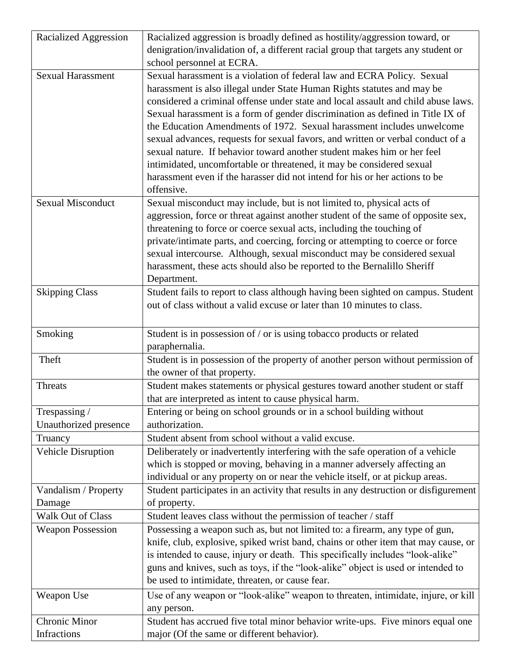| Racialized Aggression     | Racialized aggression is broadly defined as hostility/aggression toward, or          |
|---------------------------|--------------------------------------------------------------------------------------|
|                           | denigration/invalidation of, a different racial group that targets any student or    |
|                           | school personnel at ECRA.                                                            |
| <b>Sexual Harassment</b>  | Sexual harassment is a violation of federal law and ECRA Policy. Sexual              |
|                           | harassment is also illegal under State Human Rights statutes and may be              |
|                           | considered a criminal offense under state and local assault and child abuse laws.    |
|                           | Sexual harassment is a form of gender discrimination as defined in Title IX of       |
|                           | the Education Amendments of 1972. Sexual harassment includes unwelcome               |
|                           | sexual advances, requests for sexual favors, and written or verbal conduct of a      |
|                           | sexual nature. If behavior toward another student makes him or her feel              |
|                           | intimidated, uncomfortable or threatened, it may be considered sexual                |
|                           | harassment even if the harasser did not intend for his or her actions to be          |
|                           | offensive.                                                                           |
| <b>Sexual Misconduct</b>  | Sexual misconduct may include, but is not limited to, physical acts of               |
|                           | aggression, force or threat against another student of the same of opposite sex,     |
|                           | threatening to force or coerce sexual acts, including the touching of                |
|                           | private/intimate parts, and coercing, forcing or attempting to coerce or force       |
|                           | sexual intercourse. Although, sexual misconduct may be considered sexual             |
|                           | harassment, these acts should also be reported to the Bernalillo Sheriff             |
|                           | Department.                                                                          |
| <b>Skipping Class</b>     | Student fails to report to class although having been sighted on campus. Student     |
|                           | out of class without a valid excuse or later than 10 minutes to class.               |
|                           |                                                                                      |
|                           |                                                                                      |
| Smoking                   | Student is in possession of / or is using tobacco products or related                |
|                           | paraphernalia.                                                                       |
| Theft                     | Student is in possession of the property of another person without permission of     |
|                           | the owner of that property.                                                          |
| <b>Threats</b>            | Student makes statements or physical gestures toward another student or staff        |
|                           | that are interpreted as intent to cause physical harm.                               |
| Trespassing /             | Entering or being on school grounds or in a school building without                  |
| Unauthorized presence     | authorization.                                                                       |
| Truancy                   | Student absent from school without a valid excuse.                                   |
| <b>Vehicle Disruption</b> | Deliberately or inadvertently interfering with the safe operation of a vehicle       |
|                           | which is stopped or moving, behaving in a manner adversely affecting an              |
|                           | individual or any property on or near the vehicle itself, or at pickup areas.        |
| Vandalism / Property      | Student participates in an activity that results in any destruction or disfigurement |
| Damage                    | of property.                                                                         |
| Walk Out of Class         | Student leaves class without the permission of teacher / staff                       |
| <b>Weapon Possession</b>  | Possessing a weapon such as, but not limited to: a firearm, any type of gun,         |
|                           | knife, club, explosive, spiked wrist band, chains or other item that may cause, or   |
|                           | is intended to cause, injury or death. This specifically includes "look-alike"       |
|                           | guns and knives, such as toys, if the "look-alike" object is used or intended to     |
|                           | be used to intimidate, threaten, or cause fear.                                      |
| Weapon Use                | Use of any weapon or "look-alike" weapon to threaten, intimidate, injure, or kill    |
|                           | any person.                                                                          |
| <b>Chronic Minor</b>      | Student has accrued five total minor behavior write-ups. Five minors equal one       |
| Infractions               | major (Of the same or different behavior).                                           |
|                           |                                                                                      |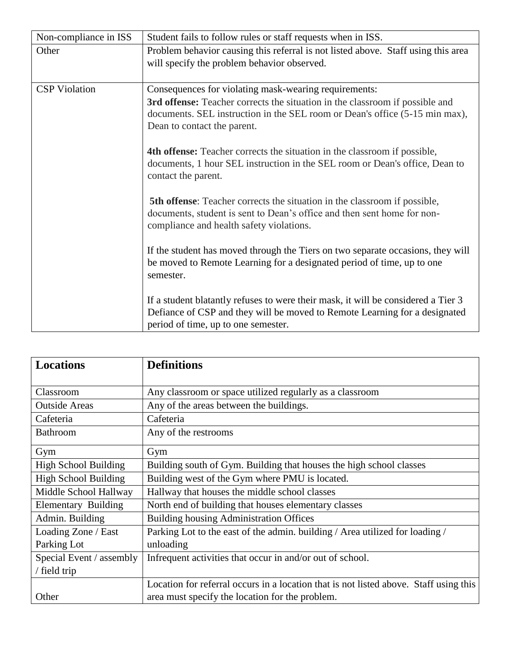| Non-compliance in ISS | Student fails to follow rules or staff requests when in ISS.                                                                                                                                                                                        |
|-----------------------|-----------------------------------------------------------------------------------------------------------------------------------------------------------------------------------------------------------------------------------------------------|
| Other                 | Problem behavior causing this referral is not listed above. Staff using this area<br>will specify the problem behavior observed.                                                                                                                    |
| <b>CSP</b> Violation  | Consequences for violating mask-wearing requirements:<br>3rd offense: Teacher corrects the situation in the classroom if possible and<br>documents. SEL instruction in the SEL room or Dean's office (5-15 min max),<br>Dean to contact the parent. |
|                       | <b>4th offense:</b> Teacher corrects the situation in the classroom if possible,<br>documents, 1 hour SEL instruction in the SEL room or Dean's office, Dean to<br>contact the parent.                                                              |
|                       | <b>5th offense:</b> Teacher corrects the situation in the classroom if possible,<br>documents, student is sent to Dean's office and then sent home for non-<br>compliance and health safety violations.                                             |
|                       | If the student has moved through the Tiers on two separate occasions, they will<br>be moved to Remote Learning for a designated period of time, up to one<br>semester.                                                                              |
|                       | If a student blatantly refuses to were their mask, it will be considered a Tier 3<br>Defiance of CSP and they will be moved to Remote Learning for a designated<br>period of time, up to one semester.                                              |

| <b>Locations</b>            | <b>Definitions</b>                                                                    |  |
|-----------------------------|---------------------------------------------------------------------------------------|--|
| Classroom                   | Any classroom or space utilized regularly as a classroom                              |  |
| <b>Outside Areas</b>        | Any of the areas between the buildings.                                               |  |
| Cafeteria                   | Cafeteria                                                                             |  |
| <b>Bathroom</b>             | Any of the restrooms                                                                  |  |
| Gym                         | Gym                                                                                   |  |
| <b>High School Building</b> | Building south of Gym. Building that houses the high school classes                   |  |
| <b>High School Building</b> | Building west of the Gym where PMU is located.                                        |  |
| Middle School Hallway       | Hallway that houses the middle school classes                                         |  |
| Elementary Building         | North end of building that houses elementary classes                                  |  |
| Admin. Building             | <b>Building housing Administration Offices</b>                                        |  |
| Loading Zone / East         | Parking Lot to the east of the admin. building / Area utilized for loading /          |  |
| Parking Lot                 | unloading                                                                             |  |
| Special Event / assembly    | Infrequent activities that occur in and/or out of school.                             |  |
| / field trip                |                                                                                       |  |
|                             | Location for referral occurs in a location that is not listed above. Staff using this |  |
| Other                       | area must specify the location for the problem.                                       |  |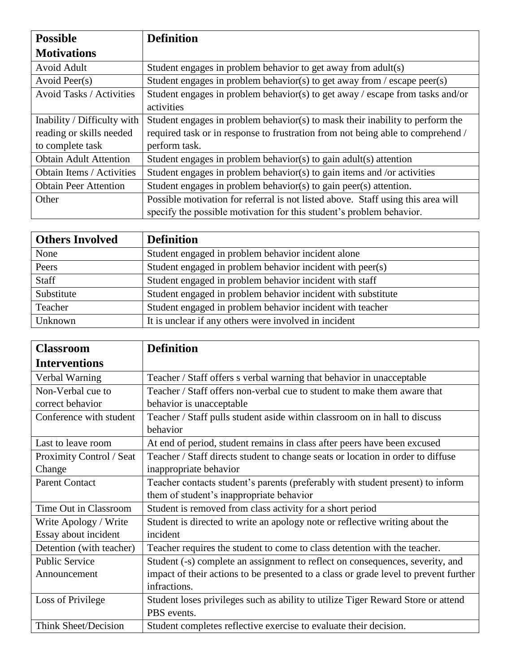| <b>Possible</b>                  | <b>Definition</b>                                                                |
|----------------------------------|----------------------------------------------------------------------------------|
| <b>Motivations</b>               |                                                                                  |
| Avoid Adult                      | Student engages in problem behavior to get away from adult(s)                    |
| Avoid Peer(s)                    | Student engages in problem behavior(s) to get away from / escape peer(s)         |
| <b>Avoid Tasks / Activities</b>  | Student engages in problem behavior(s) to get away / escape from tasks and/or    |
|                                  | activities                                                                       |
| Inability / Difficulty with      | Student engages in problem behavior(s) to mask their inability to perform the    |
| reading or skills needed         | required task or in response to frustration from not being able to comprehend /  |
| to complete task                 | perform task.                                                                    |
| <b>Obtain Adult Attention</b>    | Student engages in problem behavior(s) to gain adult(s) attention                |
| <b>Obtain Items / Activities</b> | Student engages in problem behavior(s) to gain items and /or activities          |
| <b>Obtain Peer Attention</b>     | Student engages in problem behavior(s) to gain peer(s) attention.                |
| Other                            | Possible motivation for referral is not listed above. Staff using this area will |
|                                  | specify the possible motivation for this student's problem behavior.             |

| <b>Others Involved</b> | <b>Definition</b>                                            |
|------------------------|--------------------------------------------------------------|
| None                   | Student engaged in problem behavior incident alone           |
| Peers                  | Student engaged in problem behavior incident with peer(s)    |
| <b>Staff</b>           | Student engaged in problem behavior incident with staff      |
| Substitute             | Student engaged in problem behavior incident with substitute |
| Teacher                | Student engaged in problem behavior incident with teacher    |
| Unknown                | It is unclear if any others were involved in incident        |

| <b>Classroom</b>            | <b>Definition</b>                                                                    |
|-----------------------------|--------------------------------------------------------------------------------------|
| <b>Interventions</b>        |                                                                                      |
| Verbal Warning              | Teacher / Staff offers s verbal warning that behavior in unacceptable                |
| Non-Verbal cue to           | Teacher / Staff offers non-verbal cue to student to make them aware that             |
| correct behavior            | behavior is unacceptable                                                             |
| Conference with student     | Teacher / Staff pulls student aside within classroom on in hall to discuss           |
|                             | behavior                                                                             |
| Last to leave room          | At end of period, student remains in class after peers have been excused             |
| Proximity Control / Seat    | Teacher / Staff directs student to change seats or location in order to diffuse      |
| Change                      | inappropriate behavior                                                               |
| <b>Parent Contact</b>       | Teacher contacts student's parents (preferably with student present) to inform       |
|                             | them of student's inappropriate behavior                                             |
| Time Out in Classroom       | Student is removed from class activity for a short period                            |
| Write Apology / Write       | Student is directed to write an apology note or reflective writing about the         |
| Essay about incident        | incident                                                                             |
| Detention (with teacher)    | Teacher requires the student to come to class detention with the teacher.            |
| <b>Public Service</b>       | Student (-s) complete an assignment to reflect on consequences, severity, and        |
| Announcement                | impact of their actions to be presented to a class or grade level to prevent further |
|                             | infractions.                                                                         |
| Loss of Privilege           | Student loses privileges such as ability to utilize Tiger Reward Store or attend     |
|                             | PBS events.                                                                          |
| <b>Think Sheet/Decision</b> | Student completes reflective exercise to evaluate their decision.                    |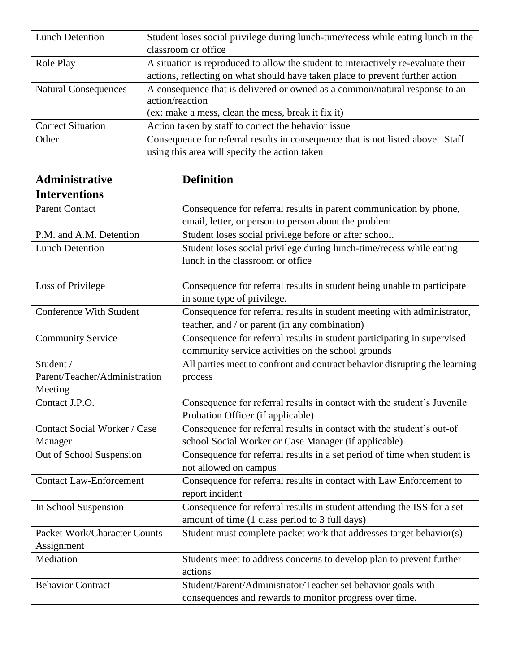| <b>Lunch Detention</b>      | Student loses social privilege during lunch-time/recess while eating lunch in the |  |
|-----------------------------|-----------------------------------------------------------------------------------|--|
|                             | classroom or office                                                               |  |
| Role Play                   | A situation is reproduced to allow the student to interactively re-evaluate their |  |
|                             | actions, reflecting on what should have taken place to prevent further action     |  |
| <b>Natural Consequences</b> | A consequence that is delivered or owned as a common/natural response to an       |  |
|                             | action/reaction                                                                   |  |
|                             | (ex: make a mess, clean the mess, break it fix it)                                |  |
| <b>Correct Situation</b>    | Action taken by staff to correct the behavior issue                               |  |
| Other                       | Consequence for referral results in consequence that is not listed above. Staff   |  |
|                             | using this area will specify the action taken                                     |  |

| <b>Administrative</b>                                 | <b>Definition</b>                                                                                                             |
|-------------------------------------------------------|-------------------------------------------------------------------------------------------------------------------------------|
| <b>Interventions</b>                                  |                                                                                                                               |
| <b>Parent Contact</b>                                 | Consequence for referral results in parent communication by phone,<br>email, letter, or person to person about the problem    |
| P.M. and A.M. Detention                               | Student loses social privilege before or after school.                                                                        |
| <b>Lunch Detention</b>                                | Student loses social privilege during lunch-time/recess while eating<br>lunch in the classroom or office                      |
| Loss of Privilege                                     | Consequence for referral results in student being unable to participate<br>in some type of privilege.                         |
| <b>Conference With Student</b>                        | Consequence for referral results in student meeting with administrator,<br>teacher, and / or parent (in any combination)      |
| <b>Community Service</b>                              | Consequence for referral results in student participating in supervised<br>community service activities on the school grounds |
| Student /<br>Parent/Teacher/Administration<br>Meeting | All parties meet to confront and contract behavior disrupting the learning<br>process                                         |
| Contact J.P.O.                                        | Consequence for referral results in contact with the student's Juvenile<br>Probation Officer (if applicable)                  |
| Contact Social Worker / Case<br>Manager               | Consequence for referral results in contact with the student's out-of<br>school Social Worker or Case Manager (if applicable) |
| Out of School Suspension                              | Consequence for referral results in a set period of time when student is<br>not allowed on campus                             |
| <b>Contact Law-Enforcement</b>                        | Consequence for referral results in contact with Law Enforcement to<br>report incident                                        |
| In School Suspension                                  | Consequence for referral results in student attending the ISS for a set<br>amount of time (1 class period to 3 full days)     |
| <b>Packet Work/Character Counts</b><br>Assignment     | Student must complete packet work that addresses target behavior(s)                                                           |
| Mediation                                             | Students meet to address concerns to develop plan to prevent further<br>actions                                               |
| <b>Behavior Contract</b>                              | Student/Parent/Administrator/Teacher set behavior goals with<br>consequences and rewards to monitor progress over time.       |